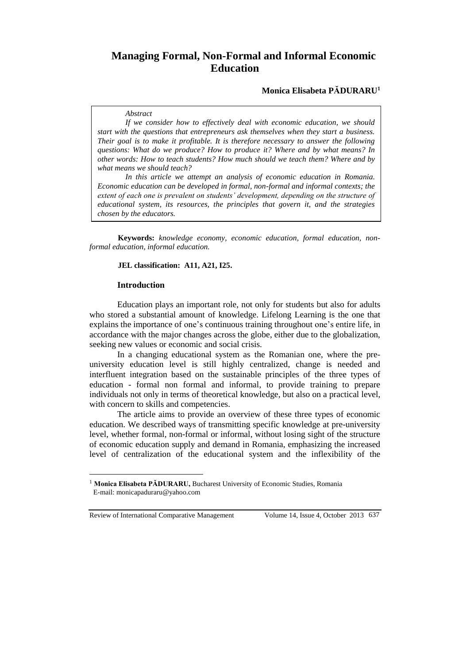# **Managing Formal, Non-Formal and Informal Economic Education**

# **Monica Elisabeta PĂDURARU<sup>1</sup>**

#### *Abstract*

*If we consider how to effectively deal with economic education, we should start with the questions that entrepreneurs ask themselves when they start a business. Their goal is to make it profitable. It is therefore necessary to answer the following questions: What do we produce? How to produce it? Where and by what means? In other words: How to teach students? How much should we teach them? Where and by what means we should teach?* 

*In this article we attempt an analysis of economic education in Romania. Economic education can be developed in formal, non-formal and informal contexts; the extent of each one is prevalent on students' development, depending on the structure of educational system, its resources, the principles that govern it, and the strategies chosen by the educators.*

**Keywords:** *knowledge economy, economic education, formal education, nonformal education, informal education.*

#### **JEL classification: A11, A21, I25.**

#### **Introduction**

Education plays an important role, not only for students but also for adults who stored a substantial amount of knowledge. Lifelong Learning is the one that explains the importance of one's continuous training throughout one's entire life, in accordance with the major changes across the globe, either due to the globalization, seeking new values or economic and social crisis.

In a changing educational system as the Romanian one, where the preuniversity education level is still highly centralized, change is needed and interfluent integration based on the sustainable principles of the three types of education - formal non formal and informal, to provide training to prepare individuals not only in terms of theoretical knowledge, but also on a practical level, with concern to skills and competencies.

The article aims to provide an overview of these three types of economic education. We described ways of transmitting specific knowledge at pre-university level, whether formal, non-formal or informal, without losing sight of the structure of economic education supply and demand in Romania, emphasizing the increased level of centralization of the educational system and the inflexibility of the

Review of International Comparative Management Volume 14, Issue 4, October 2013 637

 $\overline{a}$ 

<sup>&</sup>lt;sup>1</sup> Monica Elisabeta PĂDURARU, Bucharest University of Economic Studies, Romania E-mail: monicapaduraru@yahoo.com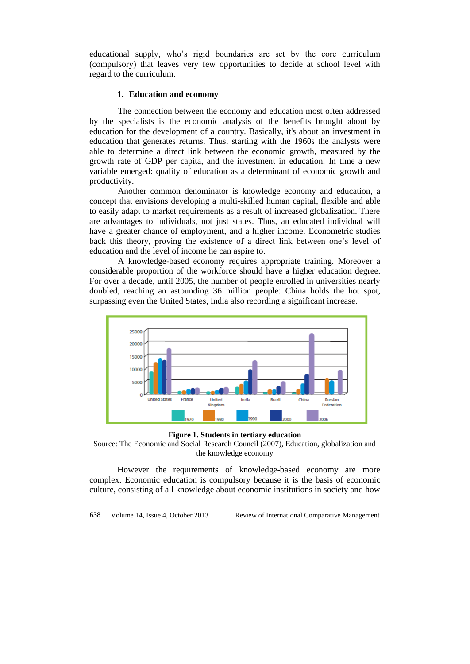educational supply, who's rigid boundaries are set by the core curriculum (compulsory) that leaves very few opportunities to decide at school level with regard to the curriculum.

### **1. Education and economy**

The connection between the economy and education most often addressed by the specialists is the economic analysis of the benefits brought about by education for the development of a country. Basically, it's about an investment in education that generates returns. Thus, starting with the 1960s the analysts were able to determine a direct link between the economic growth, measured by the growth rate of GDP per capita, and the investment in education. In time a new variable emerged: quality of education as a determinant of economic growth and productivity.

Another common denominator is knowledge economy and education, a concept that envisions developing a multi-skilled human capital, flexible and able to easily adapt to market requirements as a result of increased globalization. There are advantages to individuals, not just states. Thus, an educated individual will have a greater chance of employment, and a higher income. Econometric studies back this theory, proving the existence of a direct link between one's level of education and the level of income he can aspire to.

A knowledge-based economy requires appropriate training. Moreover a considerable proportion of the workforce should have a higher education degree. For over a decade, until 2005, the number of people enrolled in universities nearly doubled, reaching an astounding 36 million people: China holds the hot spot, surpassing even the United States, India also recording a significant increase.



**Figure 1. Students in tertiary education**

Source: The Economic and Social Research Council (2007), Education, globalization and the knowledge economy

However the requirements of knowledge-based economy are more complex. Economic education is compulsory because it is the basis of economic culture, consisting of all knowledge about economic institutions in society and how

638 Volume 14, Issue 4, October 2013 Review of International Comparative Management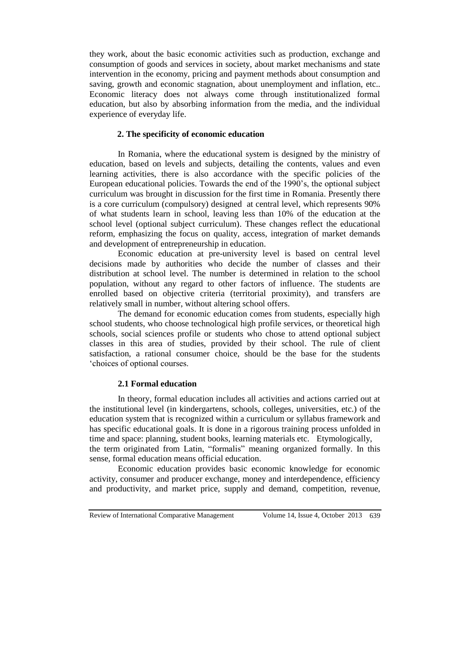they work, about the basic economic activities such as production, exchange and consumption of goods and services in society, about market mechanisms and state intervention in the economy, pricing and payment methods about consumption and saving, growth and economic stagnation, about unemployment and inflation, etc.. Economic literacy does not always come through institutionalized formal education, but also by absorbing information from the media, and the individual experience of everyday life.

## **2. The specificity of economic education**

In Romania, where the educational system is designed by the ministry of education, based on levels and subjects, detailing the contents, values and even learning activities, there is also accordance with the specific policies of the European educational policies. Towards the end of the 1990's, the optional subject curriculum was brought in discussion for the first time in Romania. Presently there is a core curriculum (compulsory) designed at central level, which represents 90% of what students learn in school, leaving less than 10% of the education at the school level (optional subject curriculum). These changes reflect the educational reform, emphasizing the focus on quality, access, integration of market demands and development of entrepreneurship in education.

Economic education at pre-university level is based on central level decisions made by authorities who decide the number of classes and their distribution at school level. The number is determined in relation to the school population, without any regard to other factors of influence. The students are enrolled based on objective criteria (territorial proximity), and transfers are relatively small in number, without altering school offers.

The demand for economic education comes from students, especially high school students, who choose technological high profile services, or theoretical high schools, social sciences profile or students who chose to attend optional subject classes in this area of studies, provided by their school. The rule of client satisfaction, a rational consumer choice, should be the base for the students 'choices of optional courses.

#### **2.1 Formal education**

In theory, formal education includes all activities and actions carried out at the institutional level (in kindergartens, schools, colleges, universities, etc.) of the education system that is recognized within a curriculum or syllabus framework and has specific educational goals. It is done in a rigorous training process unfolded in time and space: planning, student books, learning materials etc. Etymologically, the term originated from Latin, "formalis" meaning organized formally. In this

sense, formal education means official education. Economic education provides basic economic knowledge for economic activity, consumer and producer exchange, money and interdependence, efficiency and productivity, and market price, supply and demand, competition, revenue,

Review of International Comparative Management Volume 14, Issue 4, October 2013 639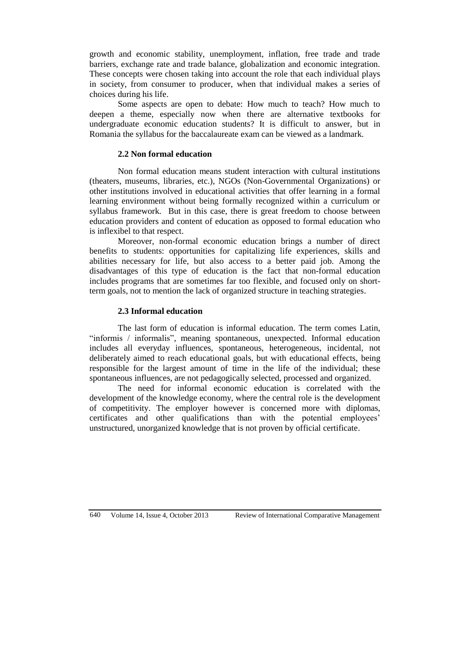growth and economic stability, unemployment, inflation, free trade and trade barriers, exchange rate and trade balance, globalization and economic integration. These concepts were chosen taking into account the role that each individual plays in society, from consumer to producer, when that individual makes a series of choices during his life.

Some aspects are open to debate: How much to teach? How much to deepen a theme, especially now when there are alternative textbooks for undergraduate economic education students? It is difficult to answer, but in Romania the syllabus for the baccalaureate exam can be viewed as a landmark.

## **2.2 Non formal education**

Non formal education means student interaction with cultural institutions (theaters, museums, libraries, etc.), NGOs (Non-Governmental Organizations) or other institutions involved in educational activities that offer learning in a formal learning environment without being formally recognized within a curriculum or syllabus framework. But in this case, there is great freedom to choose between education providers and content of education as opposed to formal education who is inflexibel to that respect.

Moreover, non-formal economic education brings a number of direct benefits to students: opportunities for capitalizing life experiences, skills and abilities necessary for life, but also access to a better paid job. Among the disadvantages of this type of education is the fact that non-formal education includes programs that are sometimes far too flexible, and focused only on shortterm goals, not to mention the lack of organized structure in teaching strategies.

# **2.3 Informal education**

The last form of education is informal education. The term comes Latin, "informis / informalis", meaning spontaneous, unexpected. Informal education includes all everyday influences, spontaneous, heterogeneous, incidental, not deliberately aimed to reach educational goals, but with educational effects, being responsible for the largest amount of time in the life of the individual; these spontaneous influences, are not pedagogically selected, processed and organized.

The need for informal economic education is correlated with the development of the knowledge economy, where the central role is the development of competitivity. The employer however is concerned more with diplomas, certificates and other qualifications than with the potential employees' unstructured, unorganized knowledge that is not proven by official certificate.

640 Volume 14, Issue 4, October 2013 Review of International Comparative Management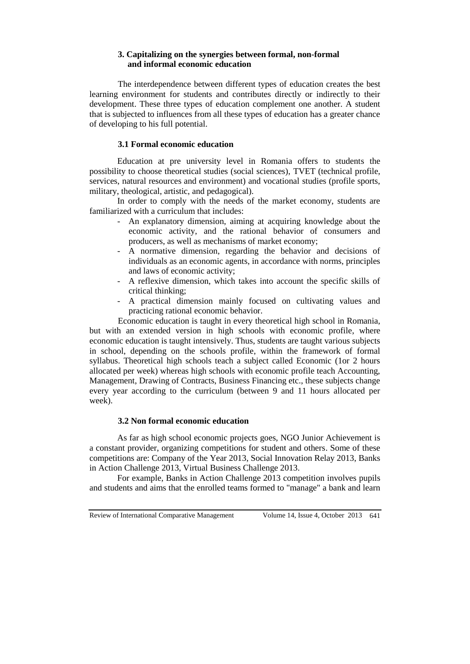# **3. Capitalizing on the synergies between formal, non-formal and informal economic education**

The interdependence between different types of education creates the best learning environment for students and contributes directly or indirectly to their development. These three types of education complement one another. A student that is subjected to influences from all these types of education has a greater chance of developing to his full potential.

# **3.1 Formal economic education**

Education at pre university level in Romania offers to students the possibility to choose theoretical studies (social sciences), TVET (technical profile, services, natural resources and environment) and vocational studies (profile sports, military, theological, artistic, and pedagogical).

In order to comply with the needs of the market economy, students are familiarized with a curriculum that includes:

- An explanatory dimension, aiming at acquiring knowledge about the economic activity, and the rational behavior of consumers and producers, as well as mechanisms of market economy;
- A normative dimension, regarding the behavior and decisions of individuals as an economic agents, in accordance with norms, principles and laws of economic activity;
- A reflexive dimension, which takes into account the specific skills of critical thinking;
- A practical dimension mainly focused on cultivating values and practicing rational economic behavior.

Economic education is taught in every theoretical high school in Romania, but with an extended version in high schools with economic profile, where economic education is taught intensively. Thus, students are taught various subjects in school, depending on the schools profile, within the framework of formal syllabus. Theoretical high schools teach a subject called Economic (1or 2 hours allocated per week) whereas high schools with economic profile teach Accounting, Management, Drawing of Contracts, Business Financing etc., these subjects change every year according to the curriculum (between 9 and 11 hours allocated per week).

# **3.2 Non formal economic education**

As far as high school economic projects goes, NGO Junior Achievement is a constant provider, organizing competitions for student and others. Some of these competitions are: Company of the Year 2013, Social Innovation Relay 2013, Banks in Action Challenge 2013, Virtual Business Challenge 2013.

For example, Banks in Action Challenge 2013 competition involves pupils and students and aims that the enrolled teams formed to "manage" a bank and learn

Review of International Comparative Management Volume 14, Issue 4, October 2013 641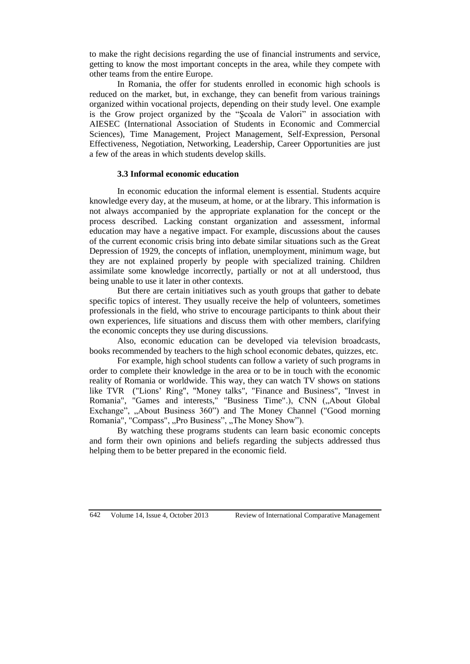to make the right decisions regarding the use of financial instruments and service, getting to know the most important concepts in the area, while they compete with other teams from the entire Europe.

In Romania, the offer for students enrolled in economic high schools is reduced on the market, but, in exchange, they can benefit from various trainings organized within vocational projects, depending on their study level. One example is the Grow project organized by the "Şcoala de Valori" in association with AIESEC (International Association of Students in Economic and Commercial Sciences), Time Management, Project Management, Self-Expression, Personal Effectiveness, Negotiation, Networking, Leadership, Career Opportunities are just a few of the areas in which students develop skills.

#### **3.3 Informal economic education**

In economic education the informal element is essential. Students acquire knowledge every day, at the museum, at home, or at the library. This information is not always accompanied by the appropriate explanation for the concept or the process described. Lacking constant organization and assessment, informal education may have a negative impact. For example, discussions about the causes of the current economic crisis bring into debate similar situations such as the Great Depression of 1929, the concepts of inflation, unemployment, minimum wage, but they are not explained properly by people with specialized training. Children assimilate some knowledge incorrectly, partially or not at all understood, thus being unable to use it later in other contexts.

But there are certain initiatives such as youth groups that gather to debate specific topics of interest. They usually receive the help of volunteers, sometimes professionals in the field, who strive to encourage participants to think about their own experiences, life situations and discuss them with other members, clarifying the economic concepts they use during discussions.

Also, economic education can be developed via television broadcasts, books recommended by teachers to the high school economic debates, quizzes, etc.

For example, high school students can follow a variety of such programs in order to complete their knowledge in the area or to be in touch with the economic reality of Romania or worldwide. This way, they can watch TV shows on stations like TVR ("Lions' Ring", "Money talks", "Finance and Business", "Invest in Romania", "Games and interests," "Business Time".), CNN ("About Global Exchange", "About Business 360") and The Money Channel ("Good morning Romania", "Compass", "Pro Business", "The Money Show").

By watching these programs students can learn basic economic concepts and form their own opinions and beliefs regarding the subjects addressed thus helping them to be better prepared in the economic field.

642 Volume 14, Issue 4, October 2013 Review of International Comparative Management